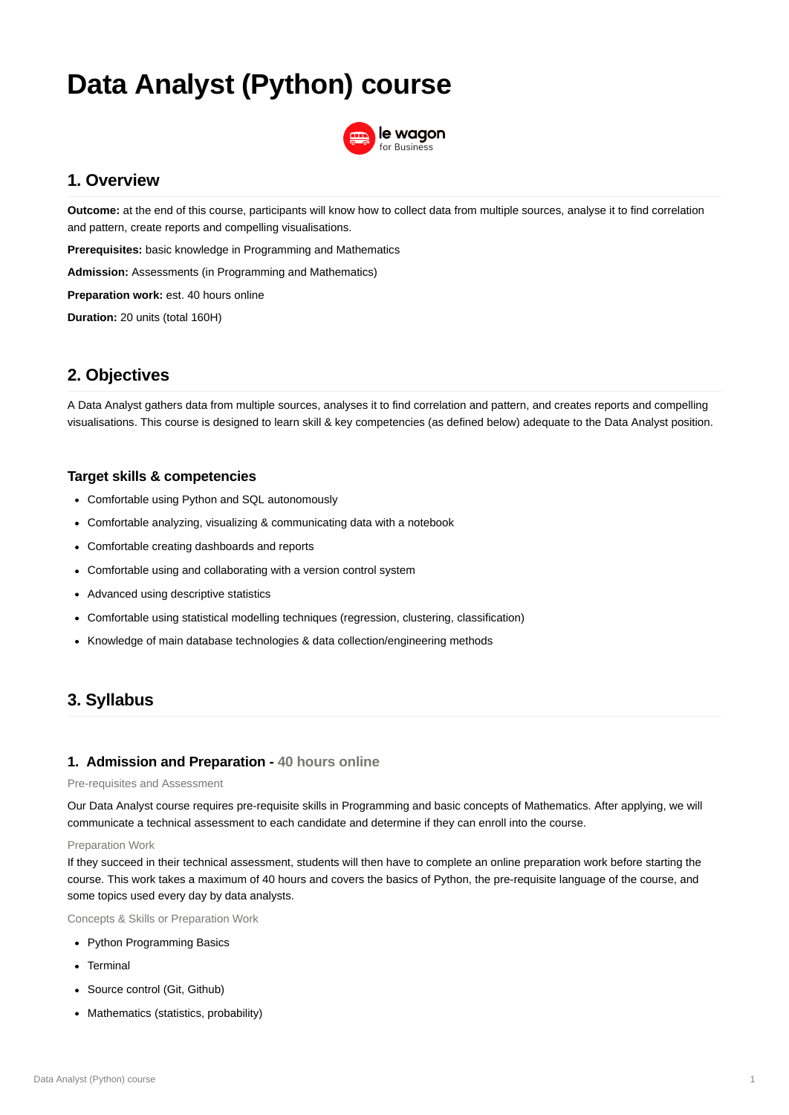Data Analyst (Python) course 1

# **Data Analyst (Python) course**



# **1. Overview**

**Outcome:** at the end of this course, participants will know how to collect data from multiple sources, analyse it to find correlation and pattern, create reports and compelling visualisations.

**Prerequisites:** basic knowledge in Programming and Mathematics

**Admission:** Assessments (in Programming and Mathematics)

- Comfortable using Python and SQL autonomously
- Comfortable analyzing, visualizing & communicating data with a notebook
- Comfortable creating dashboards and reports
- Comfortable using and collaborating with a version control system
- Advanced using descriptive statistics
- Comfortable using statistical modelling techniques (regression, clustering, classification)
- Knowledge of main database technologies & data collection/engineering methods

**Preparation work:** est. 40 hours online

**Duration:** 20 units (total 160H)

# **2. Objectives**

A Data Analyst gathers data from multiple sources, analyses it to find correlation and pattern, and creates reports and compelling visualisations. This course is designed to learn skill & key competencies (as defined below) adequate to the Data Analyst position.

## **Target skills & competencies**

# **3. Syllabus**

## **1. Admission and Preparation - 40 hours online**

Pre-requisites and Assessment

Our Data Analyst course requires pre-requisite skills in Programming and basic concepts of Mathematics. After applying, we will communicate a technical assessment to each candidate and determine if they can enroll into the course.

#### Preparation Work

If they succeed in their technical assessment, students will then have to complete an online preparation work before starting the course. This work takes a maximum of 40 hours and covers the basics of Python, the pre-requisite language of the course, and some topics used every day by data analysts.

Concepts & Skills or Preparation Work

- Python Programming Basics
- Terminal
- Source control (Git, Github)
- Mathematics (statistics, probability)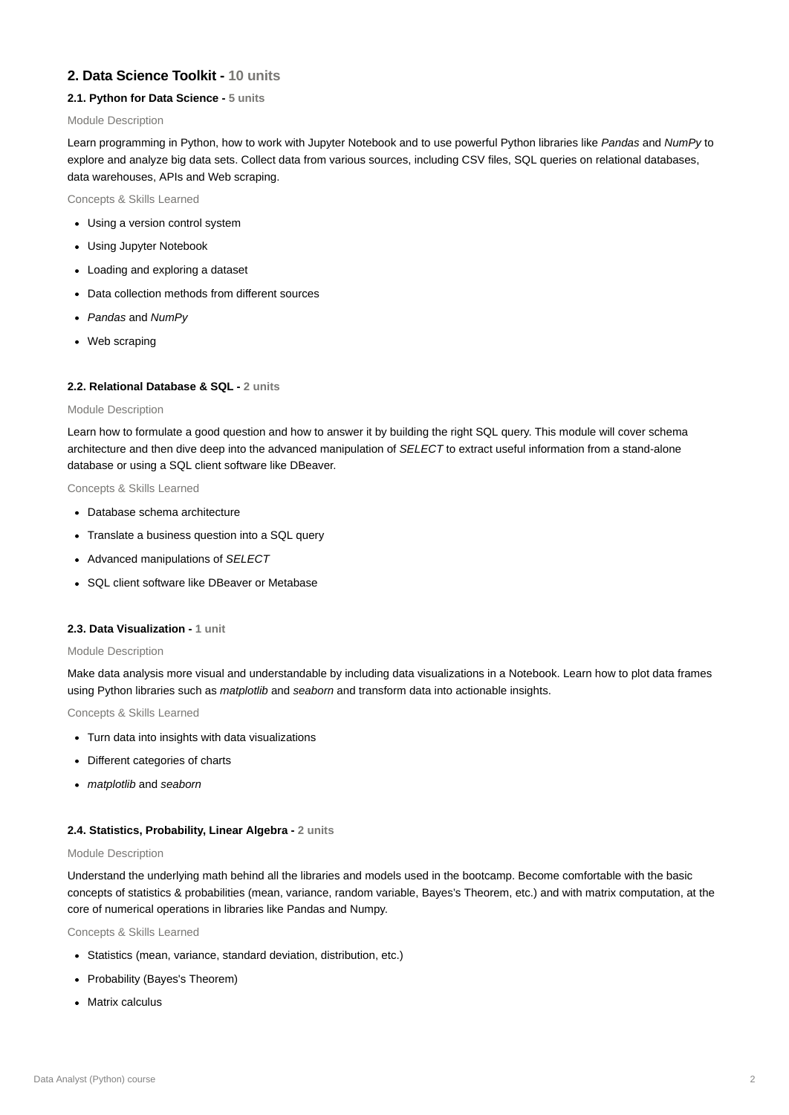### **2. Data Science Toolkit - 10 units**

#### **2.1. Python for Data Science - 5 units**

#### Module Description

- Using a version control system
- Using Jupyter Notebook
- Loading and exploring a dataset
- Data collection methods from different sources
- *Pandas* and *NumPy*
- Web scraping

Learn programming in Python, how to work with Jupyter Notebook and to use powerful Python libraries like *Pandas* and *NumPy* to explore and analyze big data sets. Collect data from various sources, including CSV files, SQL queries on relational databases, data warehouses, APIs and Web scraping.

#### Concepts & Skills Learned

#### **2.2. Relational Database & SQL - 2 units**

#### Module Description

Learn how to formulate a good question and how to answer it by building the right SQL query. This module will cover schema architecture and then dive deep into the advanced manipulation of *SELECT* to extract useful information from a stand-alone database or using a SQL client software like DBeaver.

#### Concepts & Skills Learned

- Database schema architecture
- Translate a business question into a SQL query
- Advanced manipulations of *SELECT*
- SQL client software like DBeaver or Metabase

- Statistics (mean, variance, standard deviation, distribution, etc.)
- Probability (Bayes's Theorem)
- Matrix calculus

#### **2.3. Data Visualization - 1 unit**

#### Module Description

Make data analysis more visual and understandable by including data visualizations in a Notebook. Learn how to plot data frames using Python libraries such as *matplotlib* and *seaborn* and transform data into actionable insights.

Concepts & Skills Learned

- Turn data into insights with data visualizations
- Different categories of charts
- *matplotlib* and *seaborn*

#### **2.4. Statistics, Probability, Linear Algebra - 2 units**

#### Module Description

Understand the underlying math behind all the libraries and models used in the bootcamp. Become comfortable with the basic concepts of statistics & probabilities (mean, variance, random variable, Bayes's Theorem, etc.) and with matrix computation, at the core of numerical operations in libraries like Pandas and Numpy.

Concepts & Skills Learned